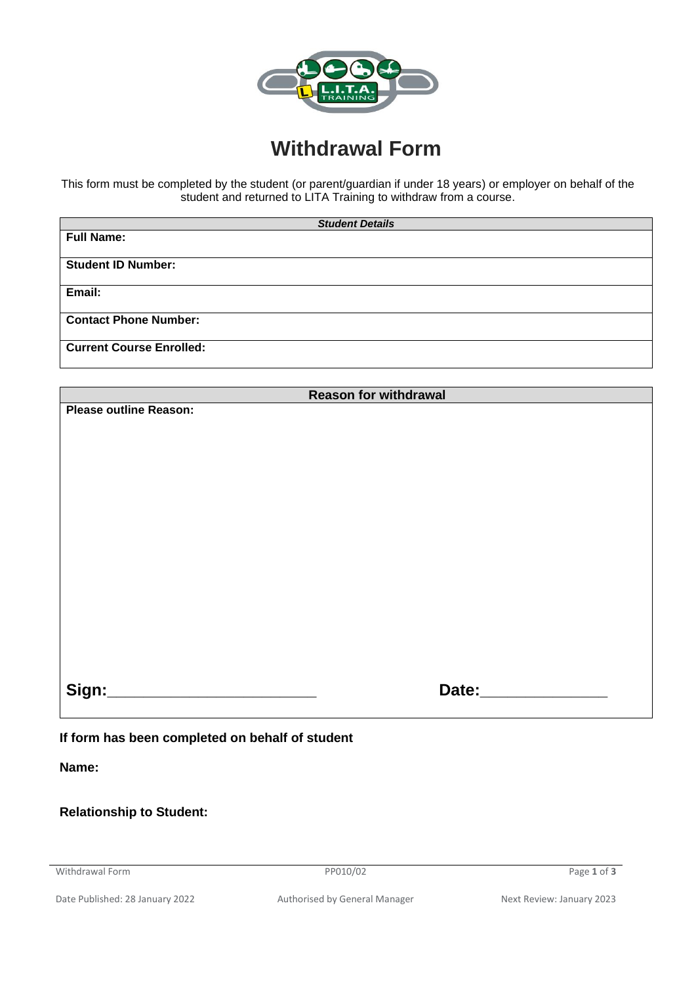

## **Withdrawal Form**

This form must be completed by the student (or parent/guardian if under 18 years) or employer on behalf of the student and returned to LITA Training to withdraw from a course.

| <b>Student Details</b>          |  |  |  |
|---------------------------------|--|--|--|
| <b>Full Name:</b>               |  |  |  |
|                                 |  |  |  |
| <b>Student ID Number:</b>       |  |  |  |
|                                 |  |  |  |
| Email:                          |  |  |  |
|                                 |  |  |  |
| <b>Contact Phone Number:</b>    |  |  |  |
|                                 |  |  |  |
| <b>Current Course Enrolled:</b> |  |  |  |
|                                 |  |  |  |

| <b>Reason for withdrawal</b>                 |                           |  |  |  |
|----------------------------------------------|---------------------------|--|--|--|
| <b>Please outline Reason:</b>                |                           |  |  |  |
|                                              |                           |  |  |  |
|                                              |                           |  |  |  |
|                                              |                           |  |  |  |
|                                              |                           |  |  |  |
|                                              |                           |  |  |  |
|                                              |                           |  |  |  |
|                                              |                           |  |  |  |
|                                              |                           |  |  |  |
|                                              |                           |  |  |  |
|                                              |                           |  |  |  |
|                                              |                           |  |  |  |
|                                              |                           |  |  |  |
|                                              |                           |  |  |  |
|                                              |                           |  |  |  |
|                                              |                           |  |  |  |
|                                              |                           |  |  |  |
| Sign:<br><u> 1980 - Jan Barbarat, manala</u> | Date: <b>Example 2018</b> |  |  |  |
|                                              |                           |  |  |  |
|                                              |                           |  |  |  |
|                                              |                           |  |  |  |

## **If form has been completed on behalf of student**

**Name:** 

**Relationship to Student:**

Withdrawal Form PP010/02 Page 1 of 3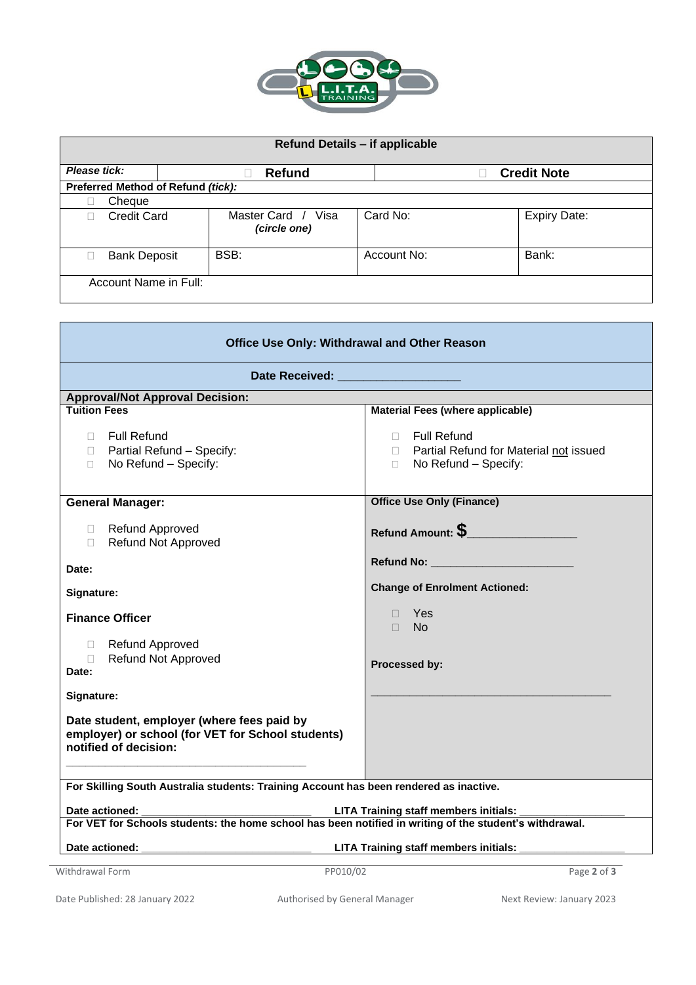

| Refund Details - if applicable     |                       |                                     |             |                     |  |  |
|------------------------------------|-----------------------|-------------------------------------|-------------|---------------------|--|--|
| Please tick:                       |                       | <b>Refund</b>                       |             | <b>Credit Note</b>  |  |  |
| Preferred Method of Refund (tick): |                       |                                     |             |                     |  |  |
|                                    | Cheque                |                                     |             |                     |  |  |
|                                    | <b>Credit Card</b>    | Master Card<br>Visa<br>(circle one) | Card No:    | <b>Expiry Date:</b> |  |  |
|                                    | <b>Bank Deposit</b>   | BSB:                                | Account No: | Bank:               |  |  |
|                                    | Account Name in Full: |                                     |             |                     |  |  |

| <b>Office Use Only: Withdrawal and Other Reason</b>                                                                                    |                                                                                                                                                                                                                                   |  |  |  |  |
|----------------------------------------------------------------------------------------------------------------------------------------|-----------------------------------------------------------------------------------------------------------------------------------------------------------------------------------------------------------------------------------|--|--|--|--|
| Date Received: _____________________                                                                                                   |                                                                                                                                                                                                                                   |  |  |  |  |
| <b>Approval/Not Approval Decision:</b>                                                                                                 |                                                                                                                                                                                                                                   |  |  |  |  |
| <b>Tuition Fees</b>                                                                                                                    | <b>Material Fees (where applicable)</b>                                                                                                                                                                                           |  |  |  |  |
| <b>Full Refund</b><br>П.<br>Partial Refund - Specify:<br>$\Box$<br>No Refund - Specify:<br>$\Box$                                      | □ Full Refund<br>D Partial Refund for Material not issued<br>No Refund - Specify:<br>$\Box$                                                                                                                                       |  |  |  |  |
| <b>General Manager:</b>                                                                                                                | <b>Office Use Only (Finance)</b>                                                                                                                                                                                                  |  |  |  |  |
| Refund Approved<br><b>Refund Not Approved</b><br>$\Box$<br>Date:                                                                       | Refund Amount: $\mathbb S$ and the set of the set of the set of the set of the set of the set of the set of the set of the set of the set of the set of the set of the set of the set of the set of the set of the set of the set |  |  |  |  |
| Signature:                                                                                                                             | <b>Change of Enrolment Actioned:</b>                                                                                                                                                                                              |  |  |  |  |
| <b>Finance Officer</b><br>Refund Approved<br>П.<br><b>Refund Not Approved</b><br>$\Box$<br>Date:                                       | $\Box$ Yes<br>$\Box$ No<br>Processed by:                                                                                                                                                                                          |  |  |  |  |
| Signature:<br>Date student, employer (where fees paid by<br>employer) or school (for VET for School students)<br>notified of decision: |                                                                                                                                                                                                                                   |  |  |  |  |
| For Skilling South Australia students: Training Account has been rendered as inactive.                                                 |                                                                                                                                                                                                                                   |  |  |  |  |
|                                                                                                                                        |                                                                                                                                                                                                                                   |  |  |  |  |
|                                                                                                                                        |                                                                                                                                                                                                                                   |  |  |  |  |
| Date actioned:                                                                                                                         | LITA Training staff members initials:                                                                                                                                                                                             |  |  |  |  |
| Withdrawal Form<br>PP010/02                                                                                                            | Page 2 of 3                                                                                                                                                                                                                       |  |  |  |  |